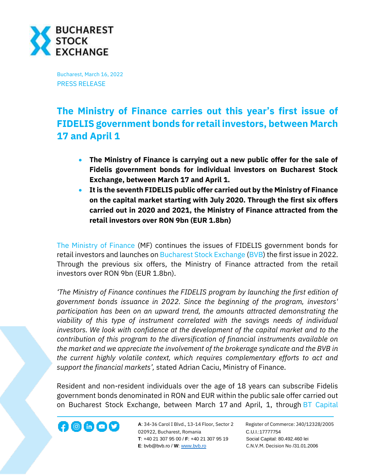

Bucharest, March 16, 2022 PRESS RELEASE

## **The Ministry of Finance carries out this year's first issue of FIDELIS government bonds for retail investors, between March 17 and April 1**

- **The Ministry of Finance is carrying out a new public offer for the sale of Fidelis government bonds for individual investors on Bucharest Stock Exchange, between March 17 and April 1.**
- **It is the seventh FIDELIS public offer carried out by the Ministry of Finance on the capital market starting with July 2020. Through the first six offers carried out in 2020 and 2021, the Ministry of Finance attracted from the retail investors over RON 9bn (EUR 1.8bn)**

[The Ministry of Finance](https://mfinante.gov.ro/ro/web/site) (MF) continues the issues of FIDELIS government bonds for retail investors and launches on [Bucharest Stock Exchange](http://www.bvb.ro/) [\(BVB\)](https://bvb.ro/FinancialInstruments/Details/FinancialInstrumentsDetails.aspx?s=bvb) the first issue in 2022. Through the previous six offers, the Ministry of Finance attracted from the retail investors over RON 9bn (EUR 1.8bn).

*'The Ministry of Finance continues the FIDELIS program by launching the first edition of government bonds issuance in 2022. Since the beginning of the program, investors' participation has been on an upward trend, the amounts attracted demonstrating the viability of this type of instrument correlated with the savings needs of individual investors. We look with confidence at the development of the capital market and to the contribution of this program to the diversification of financial instruments available on the market and we appreciate the involvement of the brokerage syndicate and the BVB in the current highly volatile context, which requires complementary efforts to act and support the financial markets',* stated Adrian Caciu, Ministry of Finance.

Resident and non-resident individuals over the age of 18 years can subscribe Fidelis government bonds denominated in RON and EUR within the public sale offer carried out on Bucharest Stock Exchange, between March 17 and April, 1, through BT Capital

**A**: 34-36 Carol I Blvd., 13-14 Floor, Sector 2 Register of Commerce: J40/12328/2005 020922, Bucharest, Romania C.U.I.:17777754  **T**: +40 21 307 95 00 / **F**: +40 21 307 95 19 Social Capital: 80.492.460 lei **E**: bvb@bvb.ro / **W**[: www.bvb.ro](http://www.bvb.ro/) C.N.V.M. Decision No /31.01.2006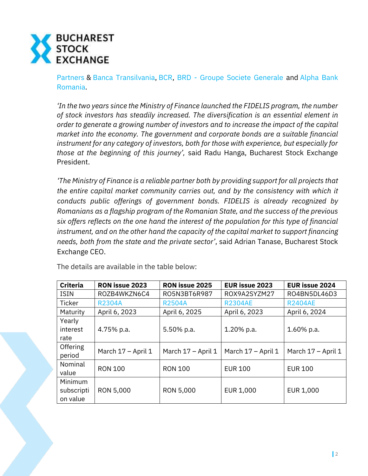

[Partners](https://btcapitalpartners.ro/) & [Banca Transilvania,](https://www.bancatransilvania.ro/) [BCR,](https://www.bcr.ro/ro/persoane-fizice) BRD - [Groupe Societe Generale](https://www.brd.ro/) and [Alpha Bank](https://www.alphabank.ro/)  [Romania.](https://www.alphabank.ro/)

*'In the two years since the Ministry of Finance launched the FIDELIS program, the number of stock investors has steadily increased. The diversification is an essential element in order to generate a growing number of investors and to increase the impact of the capital market into the economy. The government and corporate bonds are a suitable financial instrument for any category of investors, both for those with experience, but especially for those at the beginning of this journey',* said Radu Hanga, Bucharest Stock Exchange President.

*'The Ministry of Finance is a reliable partner both by providing support for all projects that the entire capital market community carries out, and by the consistency with which it conducts public offerings of government bonds. FIDELIS is already recognized by Romanians as a flagship program of the Romanian State, and the success of the previous six offers reflects on the one hand the interest of the population for this type of financial instrument, and on the other hand the capacity of the capital market to support financing needs, both from the state and the private sector'*, said Adrian Tanase, Bucharest Stock Exchange CEO.

| <b>Criteria</b> | <b>RON issue 2023</b> | <b>RON issue 2025</b> | <b>EUR issue 2023</b> | <b>EUR issue 2024</b> |
|-----------------|-----------------------|-----------------------|-----------------------|-----------------------|
| <b>ISIN</b>     | ROZB4WKZN6C4          | RO5N3BT6R987          | ROX9A2SYZM27          | RO4BN5DL46D3          |
| <b>Ticker</b>   | <b>R2304A</b>         | <b>R2504A</b>         | <b>R2304AE</b>        | <b>R2404AE</b>        |
| Maturity        | April 6, 2023         | April 6, 2025         | April 6, 2023         | April 6, 2024         |
| Yearly          |                       |                       |                       |                       |
| interest        | 4.75% p.a.            | 5.50% p.a.            | 1.20% p.a.            | $1.60\%$ p.a.         |
| rate            |                       |                       |                       |                       |
| Offering        | March 17 - April 1    | March 17 - April 1    | March 17 - April 1    | March 17 - April 1    |
| period          |                       |                       |                       |                       |
| Nominal         | <b>RON 100</b>        | <b>RON 100</b>        | <b>EUR 100</b>        | <b>EUR 100</b>        |
| value           |                       |                       |                       |                       |
| Minimum         |                       |                       |                       |                       |
| subscripti      | RON 5,000             | RON 5,000             | EUR 1,000             | EUR 1,000             |
| on value        |                       |                       |                       |                       |

The details are available in the table below: